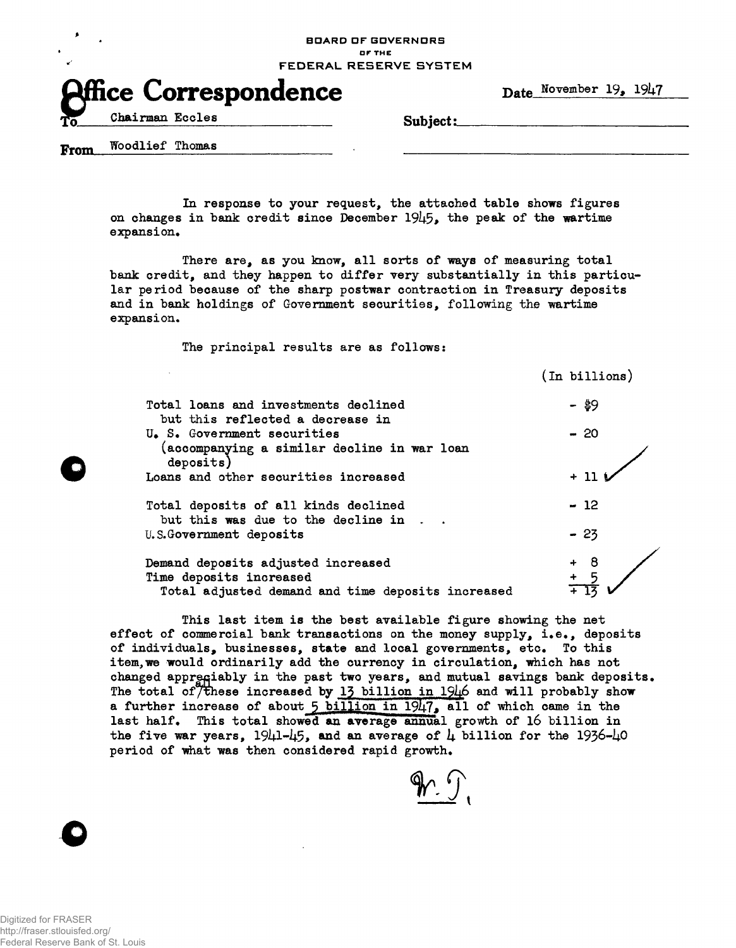**BOARD OF GOVERNORS DF THE FEDERAL RESERVE SYSTEM** 



In response to your request, the attached table shows figures on changes in bank credit since December  $1945$ , the peak of the wartime expansion.

There are, as you know, all sorts of ways of measuring total bank credit, and they happen to differ very substantially in this particular period because of the sharp postwar contraction in Treasury deposits and in bank holdings of Government securities, following the wartime expansion.

The principal results are as follows:

 $(In~billions)$ Total loans and investments declined  $\frac{49}{9}$ but this reflected a decrease in U.S. Government securities - 20 (accompanying a similar decline in war loan deposits) Loans and other securities increased  $+11$ ) Total deposits of all kinds declined **- 12**  but this was due to the decline in U.S.Government deposits - 23 8 Demand deposits adjusted increased Time deposits increased Total adjusted demand and time deposits increased

This last item is the best available figure showing the net effect of commercial bank transactions on the money supply, i.e., deposits of individuals, businesses, state and local governments, etc. To this item, we would ordinarily add the currency in circulation, which has not changed appregiably in the past two years, and mutual savings bank deposits. The total of  $\widetilde{\mathcal{T}}$  these increased by 13 billion in 1946 and will probably show a further increase of about  $5$  billion in  $1947$ , all of which came in the last half. This total showed an average annual growth of 16 billion in the five war years, 1941-45, and an average of 4 billion for the 1936-40 period of what was then considered rapid growth.

 $p$ eriod of inhat was then considered rapid growth  $\mathcal{L}_{\mathcal{A}}$ 

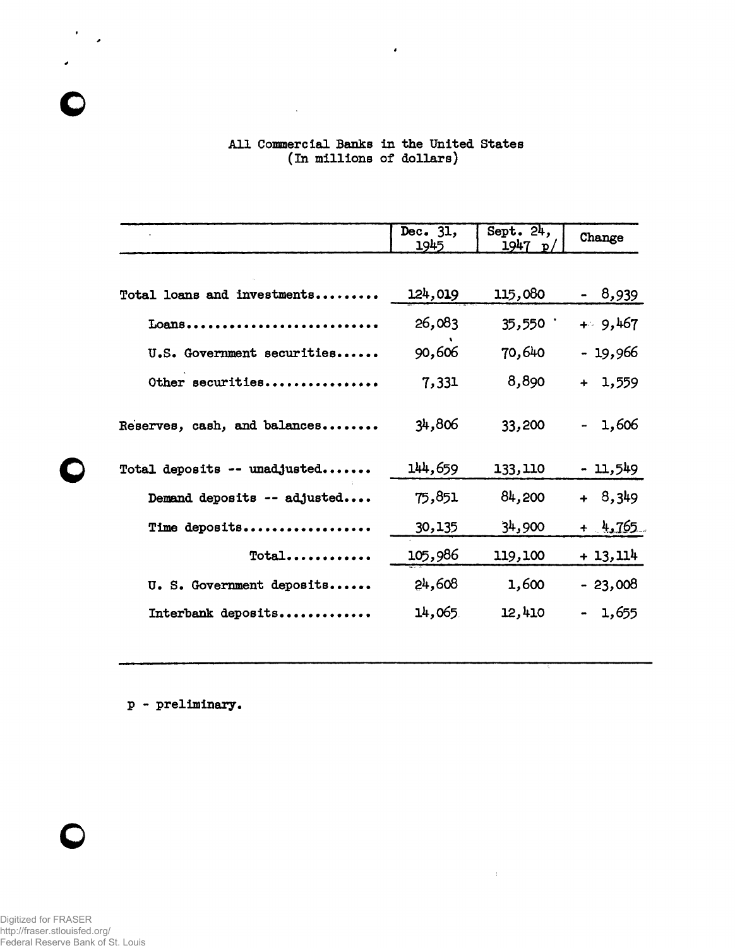## **A l l Commercial Banks in the United States ( In millions of dollars)**

 $\sim$   $\alpha$ 

 $\bullet$ 

|                              | Dec. 31,<br>1945 | Sept. $24,$<br>1947 p | Change    |
|------------------------------|------------------|-----------------------|-----------|
|                              |                  |                       |           |
| Total loans and investments  | 124,019          | 115,080               | - 8,939   |
| Loans                        | 26,083           | 35,550                | $+9,467$  |
| U.S. Government securities   | 90,606           | 70,640                | - 19,966  |
| Other securities             | 7,331            | 8,890                 | $+ 1,559$ |
| Reserves, cash, and balances | 34,806           | 33,200                | 1,606     |
| Total deposits -- unadjusted | 144,659          | 133,110               | - 11,549  |
| Demand deposits -- adjusted  | 75,851           | 84,200                | $+ 8,349$ |
| Time deposits                | 30,135           | 34,900                | $+$ 4,765 |
| Total                        | 105,986          | 119,100               | + 13, 114 |
| U. S. Government deposits    | 24,608           | 1,600                 | $-23,008$ |
| Interbank deposits           | 14,065           | 12,410                | 1,655     |

 $\sim 10^{-1}$ 

**p - preliminary.** 



 $\bullet$ 

 $\overline{\mathbf{C}}$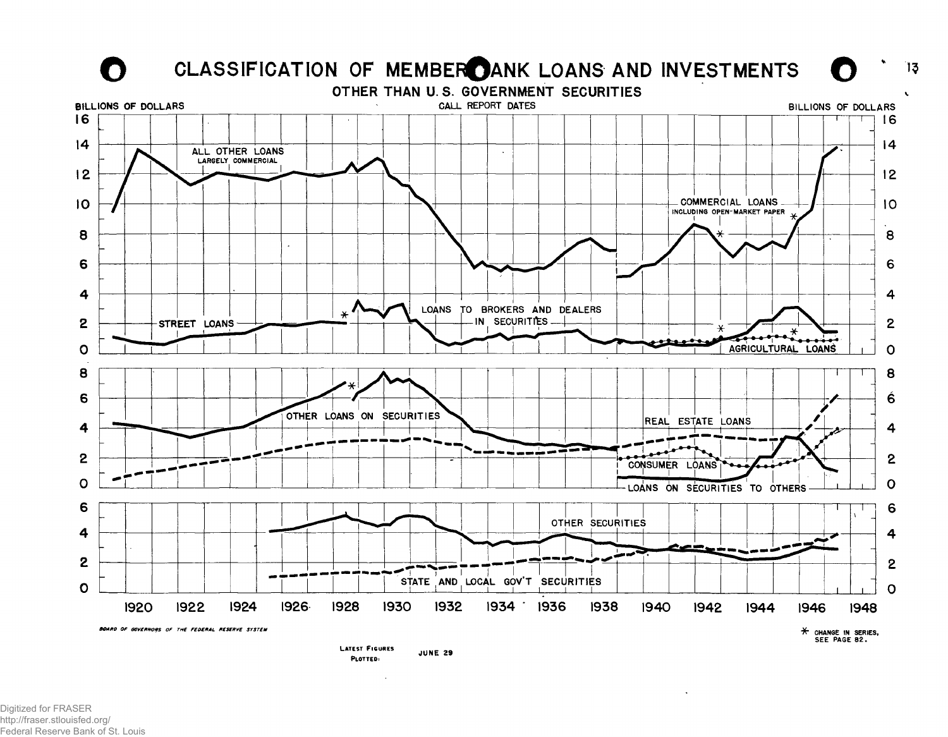

Digitized for FRASER http://fraser.stlouisfed.org/ Federal Reserve Bank of St. Louis